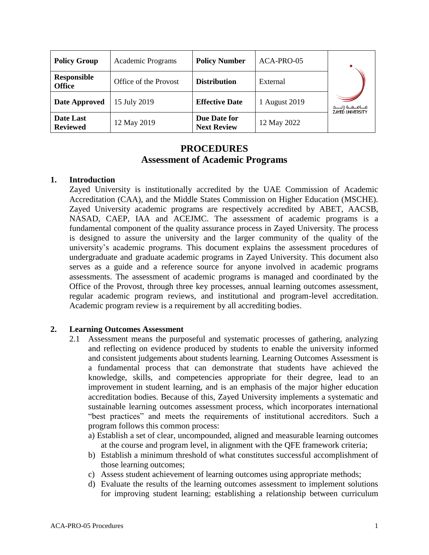| <b>Policy Group</b>          | Academic Programs     | <b>Policy Number</b>               | ACA-PRO-05    |                                                 |
|------------------------------|-----------------------|------------------------------------|---------------|-------------------------------------------------|
| Responsible<br><b>Office</b> | Office of the Provost | <b>Distribution</b>                | External      |                                                 |
| <b>Date Approved</b>         | 15 July 2019          | <b>Effective Date</b>              | 1 August 2019 | مـــامـــه ۋايـــــد<br><b>ZAYED UNIVERSITY</b> |
| Date Last<br><b>Reviewed</b> | 12 May 2019           | Due Date for<br><b>Next Review</b> | 12 May 2022   |                                                 |

# **PROCEDURES Assessment of Academic Programs**

## **1. Introduction**

Zayed University is institutionally accredited by the UAE Commission of Academic Accreditation (CAA), and the Middle States Commission on Higher Education (MSCHE). Zayed University academic programs are respectively accredited by ABET, AACSB, NASAD, CAEP, IAA and ACEJMC. The assessment of academic programs is a fundamental component of the quality assurance process in Zayed University. The process is designed to assure the university and the larger community of the quality of the university's academic programs. This document explains the assessment procedures of undergraduate and graduate academic programs in Zayed University. This document also serves as a guide and a reference source for anyone involved in academic programs assessments. The assessment of academic programs is managed and coordinated by the Office of the Provost, through three key processes, annual learning outcomes assessment, regular academic program reviews, and institutional and program-level accreditation. Academic program review is a requirement by all accrediting bodies.

## **2. Learning Outcomes Assessment**

- 2.1 Assessment means the purposeful and systematic processes of gathering, analyzing and reflecting on evidence produced by students to enable the university informed and consistent judgements about students learning. Learning Outcomes Assessment is a fundamental process that can demonstrate that students have achieved the knowledge, skills, and competencies appropriate for their degree, lead to an improvement in student learning, and is an emphasis of the major higher education accreditation bodies. Because of this, Zayed University implements a systematic and sustainable learning outcomes assessment process, which incorporates international "best practices" and meets the requirements of institutional accreditors. Such a program follows this common process:
	- a) Establish a set of clear, uncompounded, aligned and measurable learning outcomes at the course and program level, in alignment with the QFE framework criteria;
	- b) Establish a minimum threshold of what constitutes successful accomplishment of those learning outcomes;
	- c) Assess student achievement of learning outcomes using appropriate methods;
	- d) Evaluate the results of the learning outcomes assessment to implement solutions for improving student learning; establishing a relationship between curriculum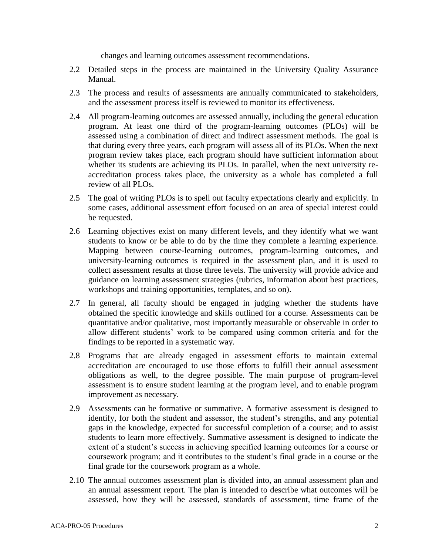changes and learning outcomes assessment recommendations.

- 2.2 Detailed steps in the process are maintained in the University Quality Assurance Manual.
- 2.3 The process and results of assessments are annually communicated to stakeholders, and the assessment process itself is reviewed to monitor its effectiveness.
- 2.4 All program-learning outcomes are assessed annually, including the general education program. At least one third of the program-learning outcomes (PLOs) will be assessed using a combination of direct and indirect assessment methods. The goal is that during every three years, each program will assess all of its PLOs. When the next program review takes place, each program should have sufficient information about whether its students are achieving its PLOs. In parallel, when the next university reaccreditation process takes place, the university as a whole has completed a full review of all PLOs.
- 2.5 The goal of writing PLOs is to spell out faculty expectations clearly and explicitly. In some cases, additional assessment effort focused on an area of special interest could be requested.
- 2.6 Learning objectives exist on many different levels, and they identify what we want students to know or be able to do by the time they complete a learning experience. Mapping between course-learning outcomes, program-learning outcomes, and university-learning outcomes is required in the assessment plan, and it is used to collect assessment results at those three levels. The university will provide advice and guidance on learning assessment strategies (rubrics, information about best practices, workshops and training opportunities, templates, and so on).
- 2.7 In general, all faculty should be engaged in judging whether the students have obtained the specific knowledge and skills outlined for a course. Assessments can be quantitative and/or qualitative, most importantly measurable or observable in order to allow different students' work to be compared using common criteria and for the findings to be reported in a systematic way.
- 2.8 Programs that are already engaged in assessment efforts to maintain external accreditation are encouraged to use those efforts to fulfill their annual assessment obligations as well, to the degree possible. The main purpose of program-level assessment is to ensure student learning at the program level, and to enable program improvement as necessary.
- 2.9 Assessments can be formative or summative. A formative assessment is designed to identify, for both the student and assessor, the student's strengths, and any potential gaps in the knowledge, expected for successful completion of a course; and to assist students to learn more effectively. Summative assessment is designed to indicate the extent of a student's success in achieving specified learning outcomes for a course or coursework program; and it contributes to the student's final grade in a course or the final grade for the coursework program as a whole.
- 2.10 The annual outcomes assessment plan is divided into, an annual assessment plan and an annual assessment report. The plan is intended to describe what outcomes will be assessed, how they will be assessed, standards of assessment, time frame of the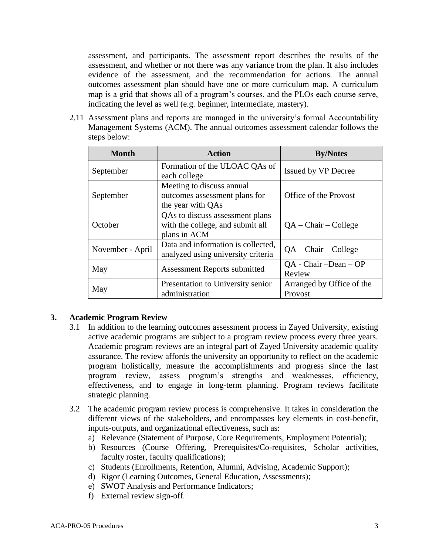assessment, and participants. The assessment report describes the results of the assessment, and whether or not there was any variance from the plan. It also includes evidence of the assessment, and the recommendation for actions. The annual outcomes assessment plan should have one or more curriculum map. A curriculum map is a grid that shows all of a program's courses, and the PLOs each course serve, indicating the level as well (e.g. beginner, intermediate, mastery).

2.11 Assessment plans and reports are managed in the university's formal Accountability Management Systems (ACM). The annual outcomes assessment calendar follows the steps below:

| <b>Month</b>     | <b>Action</b>                                                                       | <b>By/Notes</b>                      |
|------------------|-------------------------------------------------------------------------------------|--------------------------------------|
| September        | Formation of the ULOAC QAs of<br>each college                                       | Issued by VP Decree                  |
| September        | Meeting to discuss annual<br>outcomes assessment plans for<br>the year with QAs     | Office of the Provost                |
| October          | QAs to discuss assessment plans<br>with the college, and submit all<br>plans in ACM | $QA - Chair - College$               |
| November - April | Data and information is collected,<br>analyzed using university criteria            | $QA - Chair - College$               |
| May              | Assessment Reports submitted                                                        | $QA - Chair - Dean - OP$<br>Review   |
| May              | Presentation to University senior<br>administration                                 | Arranged by Office of the<br>Provost |

#### **3. Academic Program Review**

- 3.1 In addition to the learning outcomes assessment process in Zayed University, existing active academic programs are subject to a program review process every three years. Academic program reviews are an integral part of Zayed University academic quality assurance. The review affords the university an opportunity to reflect on the academic program holistically, measure the accomplishments and progress since the last program review, assess program's strengths and weaknesses, efficiency, effectiveness, and to engage in long-term planning. Program reviews facilitate strategic planning.
- 3.2 The academic program review process is comprehensive. It takes in consideration the different views of the stakeholders, and encompasses key elements in cost-benefit, inputs-outputs, and organizational effectiveness, such as:
	- a) Relevance (Statement of Purpose, Core Requirements, Employment Potential);
	- b) Resources (Course Offering, Prerequisites/Co-requisites, Scholar activities, faculty roster, faculty qualifications);
	- c) Students (Enrollments, Retention, Alumni, Advising, Academic Support);
	- d) Rigor (Learning Outcomes, General Education, Assessments);
	- e) SWOT Analysis and Performance Indicators;
	- f) External review sign-off.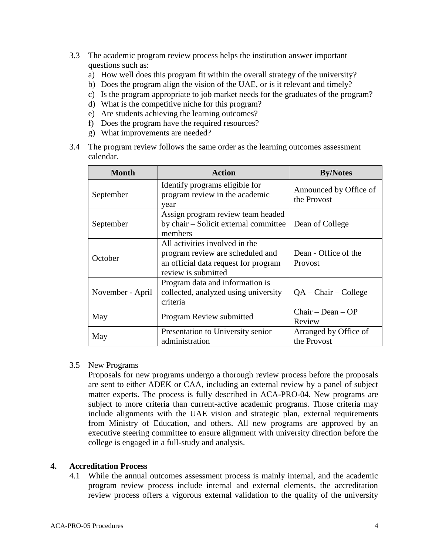- 3.3 The academic program review process helps the institution answer important questions such as:
	- a) How well does this program fit within the overall strategy of the university?
	- b) Does the program align the vision of the UAE, or is it relevant and timely?
	- c) Is the program appropriate to job market needs for the graduates of the program?
	- d) What is the competitive niche for this program?
	- e) Are students achieving the learning outcomes?
	- f) Does the program have the required resources?
	- g) What improvements are needed?
- 3.4 The program review follows the same order as the learning outcomes assessment calendar.

| <b>Month</b>     | <b>Action</b>                                                                                                                     | <b>By/Notes</b>                       |
|------------------|-----------------------------------------------------------------------------------------------------------------------------------|---------------------------------------|
| September        | Identify programs eligible for<br>program review in the academic<br>year                                                          | Announced by Office of<br>the Provost |
| September        | Assign program review team headed<br>by chair – Solicit external committee<br>members                                             | Dean of College                       |
| October          | All activities involved in the<br>program review are scheduled and<br>an official data request for program<br>review is submitted | Dean - Office of the<br>Provost       |
| November - April | Program data and information is<br>collected, analyzed using university<br>criteria                                               | $QA - Chair - College$                |
| May              | Program Review submitted                                                                                                          | $Chair - Dean - OP$<br>Review         |
| May              | Presentation to University senior<br>administration                                                                               | Arranged by Office of<br>the Provost  |

#### 3.5 New Programs

Proposals for new programs undergo a thorough review process before the proposals are sent to either ADEK or CAA, including an external review by a panel of subject matter experts. The process is fully described in ACA-PRO-04. New programs are subject to more criteria than current-active academic programs. Those criteria may include alignments with the UAE vision and strategic plan, external requirements from Ministry of Education, and others. All new programs are approved by an executive steering committee to ensure alignment with university direction before the college is engaged in a full-study and analysis.

## **4. Accreditation Process**

4.1 While the annual outcomes assessment process is mainly internal, and the academic program review process include internal and external elements, the accreditation review process offers a vigorous external validation to the quality of the university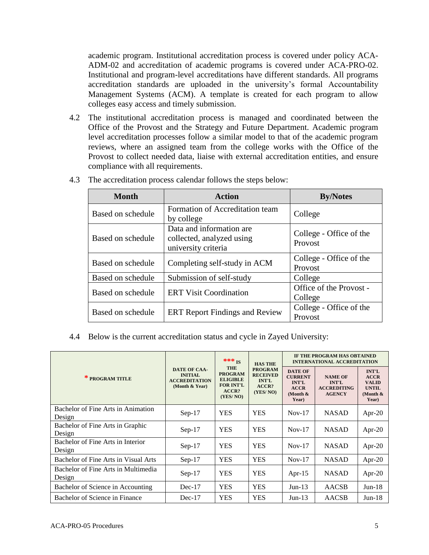academic program. Institutional accreditation process is covered under policy ACA-ADM-02 and accreditation of academic programs is covered under ACA-PRO-02. Institutional and program-level accreditations have different standards. All programs accreditation standards are uploaded in the university's formal Accountability Management Systems (ACM). A template is created for each program to allow colleges easy access and timely submission.

4.2 The institutional accreditation process is managed and coordinated between the Office of the Provost and the Strategy and Future Department. Academic program level accreditation processes follow a similar model to that of the academic program reviews, where an assigned team from the college works with the Office of the Provost to collect needed data, liaise with external accreditation entities, and ensure compliance with all requirements.

| <b>Month</b>      | <b>Action</b>                                                                | <b>By/Notes</b>                    |  |
|-------------------|------------------------------------------------------------------------------|------------------------------------|--|
| Based on schedule | Formation of Accreditation team<br>by college                                | College                            |  |
| Based on schedule | Data and information are<br>collected, analyzed using<br>university criteria | College - Office of the<br>Provost |  |
| Based on schedule | Completing self-study in ACM                                                 | College - Office of the<br>Provost |  |
| Based on schedule | Submission of self-study                                                     | College                            |  |
| Based on schedule | <b>ERT Visit Coordination</b>                                                | Office of the Provost -<br>College |  |
| Based on schedule | <b>ERT Report Findings and Review</b>                                        | College - Office of the<br>Provost |  |

4.3 The accreditation process calendar follows the steps below:

## 4.4 Below is the current accreditation status and cycle in Zayed University:

|                                               |                                                                                 | *** $_{IS}$<br><b>THE</b><br><b>PROGRAM</b><br><b>ELIGIBLE</b><br><b>FOR INT'L</b><br>ACCR?<br>(YES/NO) | <b>HAS THE</b><br><b>PROGRAM</b><br><b>RECEIVED</b><br><b>INT'L</b><br>ACCR?<br>(YES/NO) | IF THE PROGRAM HAS OBTAINED<br><b>INTERNATIONAL ACCREDITATION</b>                       |                                                                       |                                                                                     |
|-----------------------------------------------|---------------------------------------------------------------------------------|---------------------------------------------------------------------------------------------------------|------------------------------------------------------------------------------------------|-----------------------------------------------------------------------------------------|-----------------------------------------------------------------------|-------------------------------------------------------------------------------------|
| * PROGRAM TITLE                               | <b>DATE OF CAA-</b><br><b>INITIAL</b><br><b>ACCREDITATION</b><br>(Month & Year) |                                                                                                         |                                                                                          | <b>DATE OF</b><br><b>CURRENT</b><br><b>INT'L</b><br><b>ACCR</b><br>(Month $\&$<br>Year) | <b>NAME OF</b><br><b>INT'L</b><br><b>ACCREDITING</b><br><b>AGENCY</b> | <b>INT'L</b><br><b>ACCR</b><br><b>VALID</b><br><b>UNTIL</b><br>(Month $\&$<br>Year) |
| Bachelor of Fine Arts in Animation<br>Design  | $Sep-17$                                                                        | <b>YES</b>                                                                                              | <b>YES</b>                                                                               | $Nov-17$                                                                                | <b>NASAD</b>                                                          | Apr-20                                                                              |
| Bachelor of Fine Arts in Graphic<br>Design    | $Sep-17$                                                                        | <b>YES</b>                                                                                              | <b>YES</b>                                                                               | $Nov-17$                                                                                | <b>NASAD</b>                                                          | Apr-20                                                                              |
| Bachelor of Fine Arts in Interior<br>Design   | $Sep-17$                                                                        | <b>YES</b>                                                                                              | <b>YES</b>                                                                               | $Nov-17$                                                                                | <b>NASAD</b>                                                          | Apr-20                                                                              |
| Bachelor of Fine Arts in Visual Arts          | $Sep-17$                                                                        | <b>YES</b>                                                                                              | <b>YES</b>                                                                               | $Nov-17$                                                                                | <b>NASAD</b>                                                          | Apr-20                                                                              |
| Bachelor of Fine Arts in Multimedia<br>Design | $Sep-17$                                                                        | <b>YES</b>                                                                                              | <b>YES</b>                                                                               | Apr- $15$                                                                               | <b>NASAD</b>                                                          | Apr-20                                                                              |
| Bachelor of Science in Accounting             | $Dec-17$                                                                        | <b>YES</b>                                                                                              | <b>YES</b>                                                                               | $Jun-13$                                                                                | <b>AACSB</b>                                                          | $Jun-18$                                                                            |
| Bachelor of Science in Finance                | $Dec-17$                                                                        | <b>YES</b>                                                                                              | <b>YES</b>                                                                               | $Jun-13$                                                                                | <b>AACSB</b>                                                          | $Jun-18$                                                                            |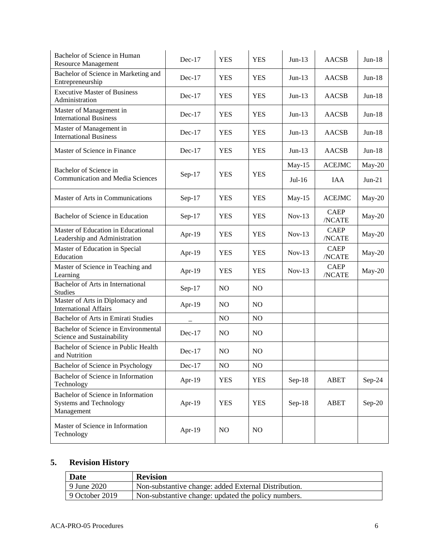| Bachelor of Science in Human<br><b>Resource Management</b>                        | Dec-17   | <b>YES</b>     | <b>YES</b> | $Jun-13$ | <b>AACSB</b>          | $Jun-18$ |
|-----------------------------------------------------------------------------------|----------|----------------|------------|----------|-----------------------|----------|
| Bachelor of Science in Marketing and<br>Entrepreneurship                          | $Dec-17$ | <b>YES</b>     | <b>YES</b> | $Jun-13$ | <b>AACSB</b>          | $Jun-18$ |
| <b>Executive Master of Business</b><br>Administration                             | $Dec-17$ | <b>YES</b>     | <b>YES</b> | $Jun-13$ | AACSB                 | $Jun-18$ |
| Master of Management in<br><b>International Business</b>                          | $Dec-17$ | <b>YES</b>     | <b>YES</b> | $Jun-13$ | <b>AACSB</b>          | $Jun-18$ |
| Master of Management in<br><b>International Business</b>                          | $Dec-17$ | <b>YES</b>     | <b>YES</b> | $Jun-13$ | <b>AACSB</b>          | $Jun-18$ |
| Master of Science in Finance                                                      | $Dec-17$ | <b>YES</b>     | <b>YES</b> | $Jun-13$ | <b>AACSB</b>          | $Jun-18$ |
| Bachelor of Science in                                                            |          |                |            | $May-15$ | <b>ACEJMC</b>         | May-20   |
| <b>Communication and Media Sciences</b>                                           | $Sep-17$ | <b>YES</b>     | <b>YES</b> | $Jul-16$ | <b>IAA</b>            | $Jun-21$ |
| Master of Arts in Communications                                                  | $Sep-17$ | <b>YES</b>     | <b>YES</b> | $May-15$ | <b>ACEJMC</b>         | $May-20$ |
| Bachelor of Science in Education                                                  | $Sep-17$ | <b>YES</b>     | <b>YES</b> | $Nov-13$ | <b>CAEP</b><br>/NCATE | May-20   |
| Master of Education in Educational<br>Leadership and Administration               | Apr-19   | <b>YES</b>     | <b>YES</b> | $Nov-13$ | <b>CAEP</b><br>/NCATE | May-20   |
| Master of Education in Special<br>Education                                       | Apr-19   | <b>YES</b>     | <b>YES</b> | $Nov-13$ | <b>CAEP</b><br>/NCATE | May-20   |
| Master of Science in Teaching and<br>Learning                                     | Apr-19   | <b>YES</b>     | <b>YES</b> | $Nov-13$ | <b>CAEP</b><br>/NCATE | May-20   |
| Bachelor of Arts in International<br><b>Studies</b>                               | $Sep-17$ | NO             | NO         |          |                       |          |
| Master of Arts in Diplomacy and<br><b>International Affairs</b>                   | Apr-19   | NO.            | NO         |          |                       |          |
| Bachelor of Arts in Emirati Studies                                               |          | N <sub>O</sub> | NO         |          |                       |          |
| Bachelor of Science in Environmental<br>Science and Sustainability                | Dec-17   | NO             | NO         |          |                       |          |
| Bachelor of Science in Public Health<br>and Nutrition                             | Dec-17   | NO             | NO         |          |                       |          |
| Bachelor of Science in Psychology                                                 | $Dec-17$ | NO             | NO         |          |                       |          |
| Bachelor of Science in Information<br>Technology                                  | Apr-19   | <b>YES</b>     | <b>YES</b> | $Sep-18$ | ABET                  | Sep-24   |
| Bachelor of Science in Information<br><b>Systems and Technology</b><br>Management | Apr-19   | <b>YES</b>     | <b>YES</b> | $Sep-18$ | ABET                  | $Sep-20$ |
| Master of Science in Information<br>Technology                                    | Apr-19   | N <sub>O</sub> | NO         |          |                       |          |

# **5. Revision History**

| <b>Date</b>    | <b>Revision</b>                                      |
|----------------|------------------------------------------------------|
| 9 June 2020    | Non-substantive change: added External Distribution. |
| 9 October 2019 | Non-substantive change: updated the policy numbers.  |